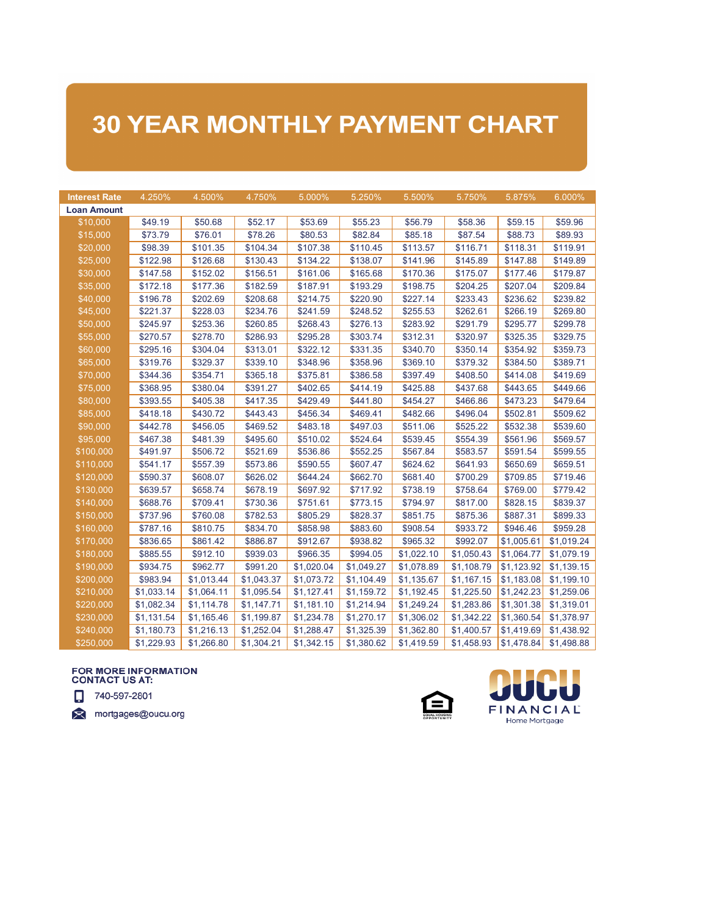## **30 YEAR MONTHLY PAYMENT CHART**

| <b>Interest Rate</b> | 4.250%     | 4.500%     | 4.750%     | 5.000%     | 5.250%     | 5.500%     | 5.750%     | 5.875%     | 6.000%     |
|----------------------|------------|------------|------------|------------|------------|------------|------------|------------|------------|
| <b>Loan Amount</b>   |            |            |            |            |            |            |            |            |            |
| \$10,000             | \$49.19    | \$50.68    | \$52.17    | \$53.69    | \$55.23    | \$56.79    | \$58.36    | \$59.15    | \$59.96    |
| \$15,000             | \$73.79    | \$76.01    | \$78.26    | \$80.53    | \$82.84    | \$85.18    | \$87.54    | \$88.73    | \$89.93    |
| \$20,000             | \$98.39    | \$101.35   | \$104.34   | \$107.38   | \$110.45   | \$113.57   | \$116.71   | \$118.31   | \$119.91   |
| \$25,000             | \$122.98   | \$126.68   | \$130.43   | \$134.22   | \$138.07   | \$141.96   | \$145.89   | \$147.88   | \$149.89   |
| \$30,000             | \$147.58   | \$152.02   | \$156.51   | \$161.06   | \$165.68   | \$170.36   | \$175.07   | \$177.46   | \$179.87   |
| \$35,000             | \$172.18   | \$177.36   | \$182.59   | \$187.91   | \$193.29   | \$198.75   | \$204.25   | \$207.04   | \$209.84   |
| \$40,000             | \$196.78   | \$202.69   | \$208.68   | \$214.75   | \$220.90   | \$227.14   | \$233.43   | \$236.62   | \$239.82   |
| \$45,000             | \$221.37   | \$228.03   | \$234.76   | \$241.59   | \$248.52   | \$255.53   | \$262.61   | \$266.19   | \$269.80   |
| \$50,000             | \$245.97   | \$253.36   | \$260.85   | \$268.43   | \$276.13   | \$283.92   | \$291.79   | \$295.77   | \$299.78   |
| \$55,000             | \$270.57   | \$278.70   | \$286.93   | \$295.28   | \$303.74   | \$312.31   | \$320.97   | \$325.35   | \$329.75   |
| \$60,000             | \$295.16   | \$304.04   | \$313.01   | \$322.12   | \$331.35   | \$340.70   | \$350.14   | \$354.92   | \$359.73   |
| \$65,000             | \$319.76   | \$329.37   | \$339.10   | \$348.96   | \$358.96   | \$369.10   | \$379.32   | \$384.50   | \$389.71   |
| \$70,000             | \$344.36   | \$354.71   | \$365.18   | \$375.81   | \$386.58   | \$397.49   | \$408.50   | \$414.08   | \$419.69   |
| \$75,000             | \$368.95   | \$380.04   | \$391.27   | \$402.65   | \$414.19   | \$425.88   | \$437.68   | \$443.65   | \$449.66   |
| \$80,000             | \$393.55   | \$405.38   | \$417.35   | \$429.49   | \$441.80   | \$454.27   | \$466.86   | \$473.23   | \$479.64   |
| \$85,000             | \$418.18   | \$430.72   | \$443.43   | \$456.34   | \$469.41   | \$482.66   | \$496.04   | \$502.81   | \$509.62   |
| \$90,000             | \$442.78   | \$456.05   | \$469.52   | \$483.18   | \$497.03   | \$511.06   | \$525.22   | \$532.38   | \$539.60   |
| \$95,000             | \$467.38   | \$481.39   | \$495.60   | \$510.02   | \$524.64   | \$539.45   | \$554.39   | \$561.96   | \$569.57   |
| \$100,000            | \$491.97   | \$506.72   | \$521.69   | \$536.86   | \$552.25   | \$567.84   | \$583.57   | \$591.54   | \$599.55   |
| \$110,000            | \$541.17   | \$557.39   | \$573.86   | \$590.55   | \$607.47   | \$624.62   | \$641.93   | \$650.69   | \$659.51   |
| \$120,000            | \$590.37   | \$608.07   | \$626.02   | \$644.24   | \$662.70   | \$681.40   | \$700.29   | \$709.85   | \$719.46   |
| \$130,000            | \$639.57   | \$658.74   | \$678.19   | \$697.92   | \$717.92   | \$738.19   | \$758.64   | \$769.00   | \$779.42   |
| \$140,000            | \$688.76   | \$709.41   | \$730.36   | \$751.61   | \$773.15   | \$794.97   | \$817.00   | \$828.15   | \$839.37   |
| \$150,000            | \$737.96   | \$760.08   | \$782.53   | \$805.29   | \$828.37   | \$851.75   | \$875.36   | \$887.31   | \$899.33   |
| \$160,000            | \$787.16   | \$810.75   | \$834.70   | \$858.98   | \$883.60   | \$908.54   | \$933.72   | \$946.46   | \$959.28   |
| \$170,000            | \$836.65   | \$861.42   | \$886.87   | \$912.67   | \$938.82   | \$965.32   | \$992.07   | \$1,005.61 | \$1,019.24 |
| \$180,000            | \$885.55   | \$912.10   | \$939.03   | \$966.35   | \$994.05   | \$1,022.10 | \$1,050.43 | \$1,064.77 | \$1,079.19 |
| \$190,000            | \$934.75   | \$962.77   | \$991.20   | \$1,020.04 | \$1,049.27 | \$1,078.89 | \$1,108.79 | \$1,123.92 | \$1,139.15 |
| \$200,000            | \$983.94   | \$1,013.44 | \$1,043.37 | \$1,073.72 | \$1,104.49 | \$1,135.67 | \$1,167.15 | \$1,183.08 | \$1,199.10 |
| \$210,000            | \$1,033.14 | \$1,064.11 | \$1,095.54 | \$1,127.41 | \$1,159.72 | \$1,192.45 | \$1,225.50 | \$1,242.23 | \$1,259.06 |
| \$220,000            | \$1,082.34 | \$1,114.78 | \$1,147.71 | \$1,181.10 | \$1,214.94 | \$1,249.24 | \$1,283.86 | \$1,301.38 | \$1,319.01 |
| \$230,000            | \$1,131.54 | \$1,165.46 | \$1,199.87 | \$1,234.78 | \$1,270.17 | \$1,306.02 | \$1,342.22 | \$1,360.54 | \$1,378.97 |
| \$240,000            | \$1,180.73 | \$1,216.13 | \$1,252.04 | \$1,288.47 | \$1,325.39 | \$1,362.80 | \$1,400.57 | \$1,419.69 | \$1,438.92 |
| \$250,000            | \$1,229.93 | \$1,266.80 | \$1,304.21 | \$1,342.15 | \$1,380.62 | \$1,419.59 | \$1,458.93 | \$1,478.84 | \$1,498.88 |

## FOR MORE INFORMATION **CONTACT US AT:**

740-597-2801

mortgages@oucu.org